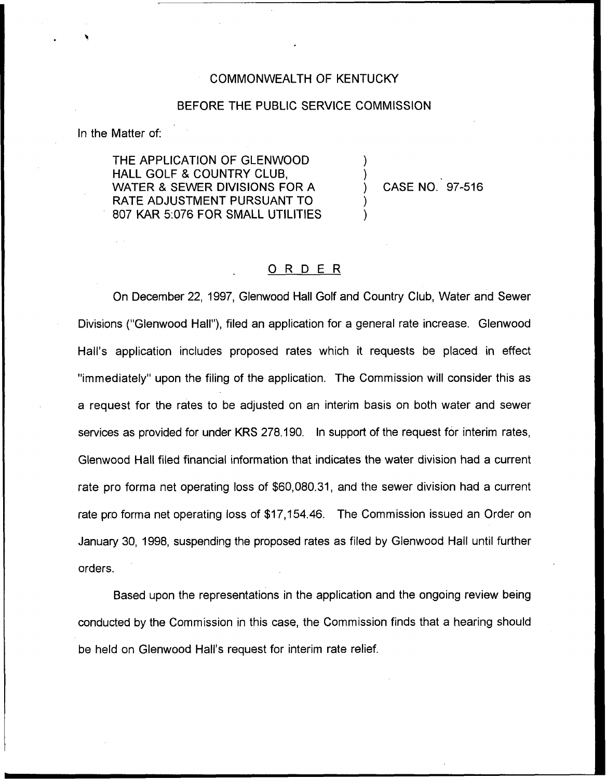### COMMONWEALTH OF KENTUCKY

### BEFORE THE PUBLIC SERVICE COMMISSION

In the Matter of:

THE APPLICATION OF GLENWOOD HALL GOLF 8 COUNTRY CLUB, WATER 8 SEWER DIVISIONS FOR A RATE ADJUSTMENT PURSUANT TO 807 KAR 5:076 FOR SMALL UTILITIES

) CASE NO. 97-516

) )

) )

### 0 <sup>R</sup> <sup>D</sup> <sup>E</sup> <sup>R</sup>

On December 22, 1997, Glenwood Hall Golf and Country Club, Water and Sewer Divisions ("Glenwood Hall"), filed an application for a general rate increase. Glenwood Hall's application includes proposed rates which it requests be placed in effect "immediately" upon the filing of the application. The Commission will consider this as a request for the rates to be adjusted on an interim basis on both water and sewer services as provided for under KRS 278.190. In support of the request for interim rates, Glenwood Hall filed financial information that indicates the water division had a current rate pro forma net operating loss of \$60,080.31, and the sewer division had a current rate pro forma net operating loss of \$17,154.46. The Commission issued an Order on January 30, 1998, suspending the proposed rates as filed by Glenwood Hall until further orders.

Based upon the representations in the application and the ongoing review being conducted by the Commission in this case, the Commission finds that a hearing should be held on Glenwood Hall's request for interim rate relief.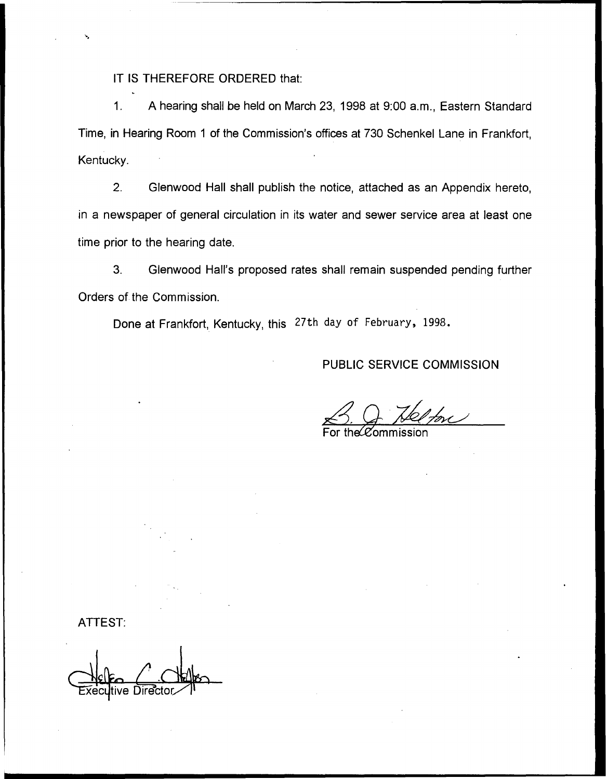### IT IS THEREFORE ORDERED that:

1. A hearing shall be held on March 23, 1998 at 9:00 a.m., Eastern Standard Time, in Hearing Room <sup>1</sup> of the Commission's offices at 730 Schenkel Lane in Frankfort, Kentucky.

2. Glenwood Hall shall publish the notice, attached as an Appendix hereto, in a newspaper of general circulation in its water and sewer service area at least one time prior to the hearing date.

3. Glenwood Hall's proposed rates shall remain suspended pending further Orders of the Commission.

Done at Frankfort, Kentucky, this 27th day of February, 1998.

# PUBLIC SERVICE COMMISSION

 $\mathcal{L}$  $\frac{1}{\sqrt{\frac{2}{\pi}}\sqrt{\frac{2}{\pi}}}}$ 

For the $\cal C$ ommissio

ATTEST: